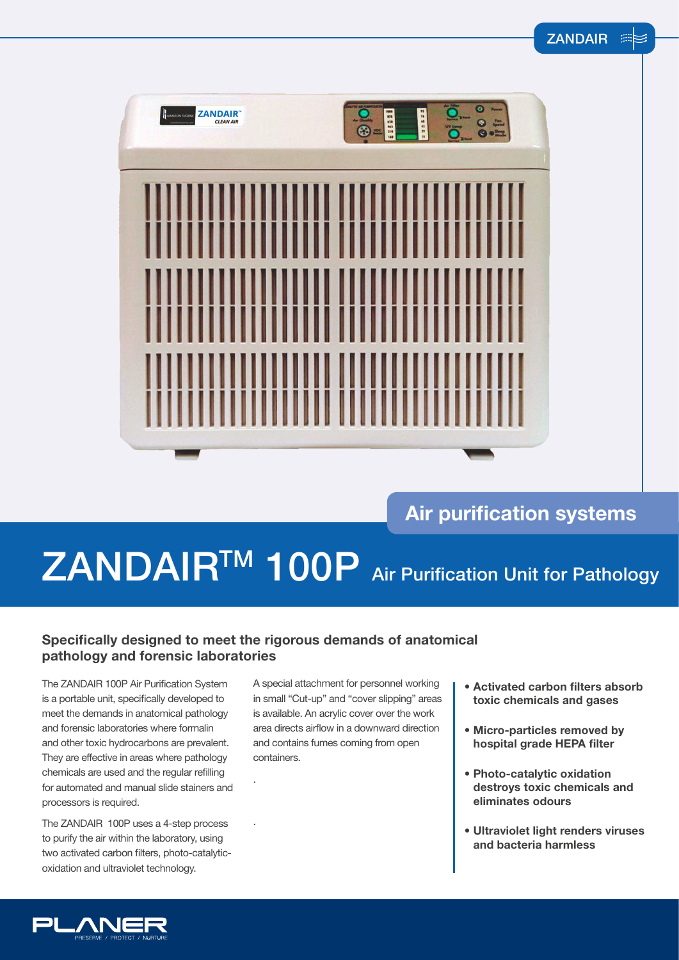$\preceq$ 



### **Air purification systems**

# ZANDAIR<sup>TM</sup> 100P Air Purification Unit for Pathology

### **Specifically designed to meet the rigorous demands of anatomical pathology and forensic laboratories**

.

.

The ZANDAIR 100P Air Purification System is a portable unit, specifically developed to meet the demands in anatomical pathology and forensic laboratories where formalin and other toxic hydrocarbons are prevalent. They are effective in areas where pathology chemicals are used and the regular refilling for automated and manual slide stainers and processors is required.

The ZANDAIR 100P uses a 4-step process to purify the air within the laboratory, using two activated carbon filters, photo-catalyticoxidation and ultraviolet technology.

A special attachment for personnel working in small "Cut-up" and "cover slipping" areas is available. An acrylic cover over the work area directs airflow in a downward direction and contains fumes coming from open containers.

- **Activated carbon filters absorb toxic chemicals and gases**
- **Micro-particles removed by hospital grade HEPA filter**
- **Photo-catalytic oxidation destroys toxic chemicals and eliminates odours**
- **Ultraviolet light renders viruses and bacteria harmless**